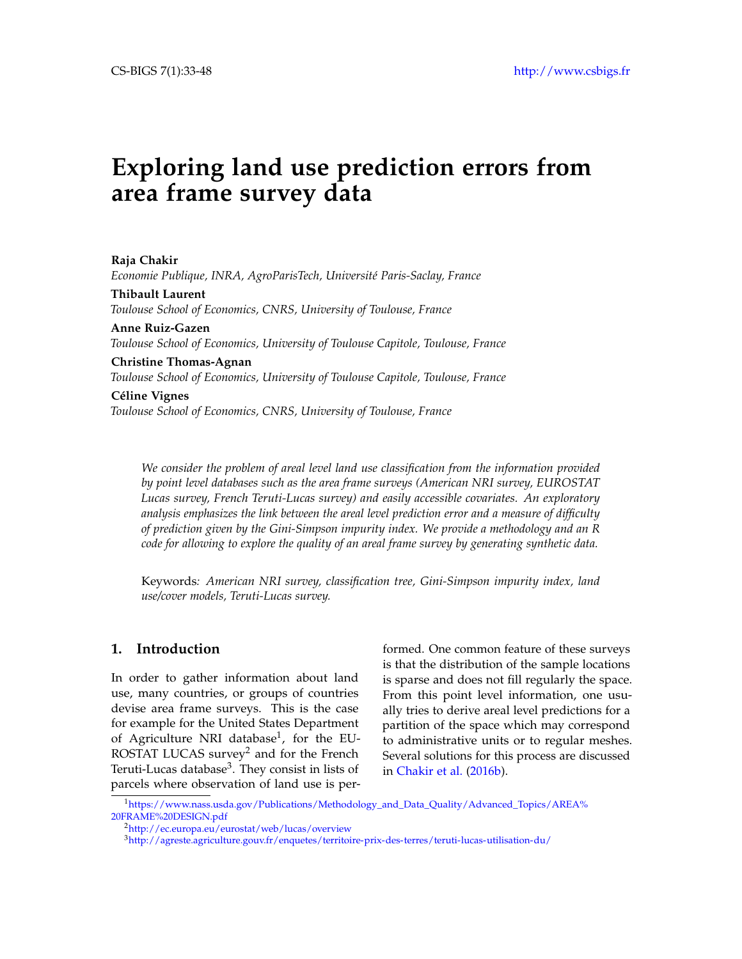# **Exploring land use prediction errors from area frame survey data**

**Raja Chakir** *Economie Publique, INRA, AgroParisTech, Université Paris-Saclay, France* **Thibault Laurent** *Toulouse School of Economics, CNRS, University of Toulouse, France* **Anne Ruiz-Gazen** *Toulouse School of Economics, University of Toulouse Capitole, Toulouse, France* **Christine Thomas-Agnan** *Toulouse School of Economics, University of Toulouse Capitole, Toulouse, France* **Céline Vignes**

*Toulouse School of Economics, CNRS, University of Toulouse, France*

*We consider the problem of areal level land use classification from the information provided by point level databases such as the area frame surveys (American NRI survey, EUROSTAT Lucas survey, French Teruti-Lucas survey) and easily accessible covariates. An exploratory analysis emphasizes the link between the areal level prediction error and a measure of difficulty of prediction given by the Gini-Simpson impurity index. We provide a methodology and an R code for allowing to explore the quality of an areal frame survey by generating synthetic data.*

Keywords*: American NRI survey, classification tree, Gini-Simpson impurity index, land use/cover models, Teruti-Lucas survey.*

# **1. Introduction**

In order to gather information about land use, many countries, or groups of countries devise area frame surveys. This is the case for example for the United States Department of Agriculture NRI database<sup>[1](#page-0-0)</sup>, for the EU-ROSTAT LUCAS survey<sup>[2](#page-0-1)</sup> and for the French Teruti-Lucas database<sup>[3](#page-0-2)</sup>. They consist in lists of parcels where observation of land use is performed. One common feature of these surveys is that the distribution of the sample locations is sparse and does not fill regularly the space. From this point level information, one usually tries to derive areal level predictions for a partition of the space which may correspond to administrative units or to regular meshes. Several solutions for this process are discussed in [Chakir et al.](#page-15-0) [\(2016b\)](#page-15-0).

<span id="page-0-0"></span><sup>1</sup>[https://www.nass.usda.gov/Publications/Methodology\\_and\\_Data\\_Quality/Advanced\\_Topics/AREA%](https://www.nass.usda.gov/Publications/Methodology_and_Data_Quality/Advanced_Topics/AREA%20FRAME%20DESIGN.pdf ) [20FRAME%20DESIGN.pdf](https://www.nass.usda.gov/Publications/Methodology_and_Data_Quality/Advanced_Topics/AREA%20FRAME%20DESIGN.pdf )

<span id="page-0-1"></span><sup>2</sup><http://ec.europa.eu/eurostat/web/lucas/overview>

<span id="page-0-2"></span><sup>3</sup><http://agreste.agriculture.gouv.fr/enquetes/territoire-prix-des-terres/teruti-lucas-utilisation-du/>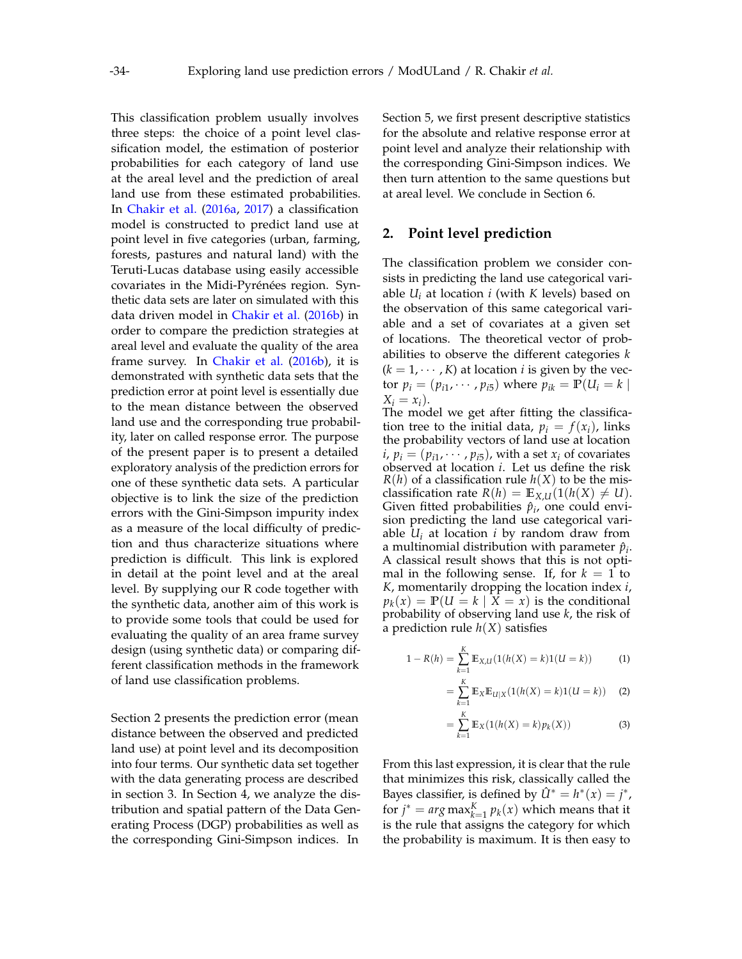This classification problem usually involves three steps: the choice of a point level classification model, the estimation of posterior probabilities for each category of land use at the areal level and the prediction of areal land use from these estimated probabilities. In [Chakir et al.](#page-15-1) [\(2016a,](#page-15-1) [2017\)](#page-15-2) a classification model is constructed to predict land use at point level in five categories (urban, farming, forests, pastures and natural land) with the Teruti-Lucas database using easily accessible covariates in the Midi-Pyrénées region. Synthetic data sets are later on simulated with this data driven model in [Chakir et al.](#page-15-0) [\(2016b\)](#page-15-0) in order to compare the prediction strategies at areal level and evaluate the quality of the area frame survey. In [Chakir et al.](#page-15-0) [\(2016b\)](#page-15-0), it is demonstrated with synthetic data sets that the prediction error at point level is essentially due to the mean distance between the observed land use and the corresponding true probability, later on called response error. The purpose of the present paper is to present a detailed exploratory analysis of the prediction errors for one of these synthetic data sets. A particular objective is to link the size of the prediction errors with the Gini-Simpson impurity index as a measure of the local difficulty of prediction and thus characterize situations where prediction is difficult. This link is explored in detail at the point level and at the areal level. By supplying our R code together with the synthetic data, another aim of this work is to provide some tools that could be used for evaluating the quality of an area frame survey design (using synthetic data) or comparing different classification methods in the framework of land use classification problems.

Section [2](#page-1-0) presents the prediction error (mean distance between the observed and predicted land use) at point level and its decomposition into four terms. Our synthetic data set together with the data generating process are described in section [3.](#page-2-0) In Section [4,](#page-6-0) we analyze the distribution and spatial pattern of the Data Generating Process (DGP) probabilities as well as the corresponding Gini-Simpson indices. In

Section [5,](#page-9-0) we first present descriptive statistics for the absolute and relative response error at point level and analyze their relationship with the corresponding Gini-Simpson indices. We then turn attention to the same questions but at areal level. We conclude in Section [6.](#page-12-0)

## <span id="page-1-0"></span>**2. Point level prediction**

The classification problem we consider consists in predicting the land use categorical variable *U<sup>i</sup>* at location *i* (with *K* levels) based on the observation of this same categorical variable and a set of covariates at a given set of locations. The theoretical vector of probabilities to observe the different categories *k*  $(k = 1, \dots, K)$  at location *i* is given by the vector  $p_i = (p_{i1}, \dots, p_{i5})$  where  $p_{ik} = \mathbb{P}(U_i = k |$  $X_i = x_i$ ).

The model we get after fitting the classification tree to the initial data,  $p_i = f(x_i)$ , links the probability vectors of land use at location  $i, p_i = (p_{i1}, \cdots, p_{i5})$ , with a set  $x_i$  of covariates observed at location *i*. Let us define the risk  $R(h)$  of a classification rule  $h(X)$  to be the misclassification rate  $R(h) = \mathbb{E}_{X,U}(1(h(X) \neq U)).$ Given fitted probabilities  $\hat{p}_i$ , one could envision predicting the land use categorical variable  $U_i$  at location *i* by random draw from a multinomial distribution with parameter  $\hat{p}_i$ . A classical result shows that this is not optimal in the following sense. If, for  $k = 1$  to *K*, momentarily dropping the location index *i*,  $p_k(x) = \mathbb{P}(U = k \mid X = x)$  is the conditional probability of observing land use *k*, the risk of a prediction rule  $h(X)$  satisfies

$$
1 - R(h) = \sum_{k=1}^{K} \mathbb{E}_{X,U}(1(h(X) = k)1(U = k))
$$
 (1)

$$
= \sum_{k=1}^{K} \mathbb{E}_{X} \mathbb{E}_{U|X} (1(h(X) = k)1(U = k)) \quad (2)
$$

$$
= \sum_{k=1}^{K} \mathbb{E}_{X} (1(h(X) = k) p_k(X))
$$
 (3)

From this last expression, it is clear that the rule that minimizes this risk, classically called the Bayes classifier, is defined by  $\hat{U}^* = h^*(x) = j^*$ , for  $j^* = arg \max_{k=1}^K p_k(x)$  which means that it is the rule that assigns the category for which the probability is maximum. It is then easy to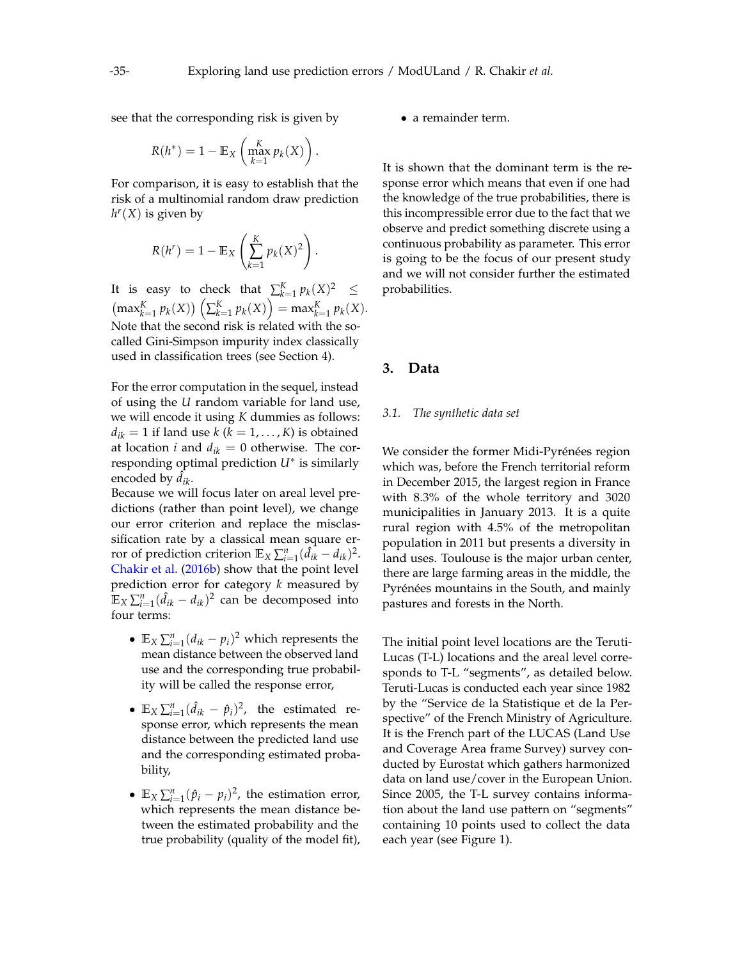see that the corresponding risk is given by

$$
R(h^*) = 1 - \mathbb{E}_X \left( \max_{k=1}^K p_k(X) \right).
$$

For comparison, it is easy to establish that the risk of a multinomial random draw prediction  $h$ <sup>*r*</sup>(*X*) is given by

$$
R(h^r) = 1 - \mathbb{E}_X \left( \sum_{k=1}^K p_k(X)^2 \right).
$$

It is easy to check that  $\sum_{k=1}^{K} p_k(X)^2 \leq$  $\left(\max_{k=1}^{K} p_k(X)\right) \left(\sum_{k=1}^{K} p_k(X)\right) = \max_{k=1}^{K} p_k(X).$ Note that the second risk is related with the socalled Gini-Simpson impurity index classically used in classification trees (see Section [4\)](#page-6-0).

For the error computation in the sequel, instead of using the *U* random variable for land use, we will encode it using *K* dummies as follows:  $d_{ik} = 1$  if land use  $k$  ( $k = 1, \ldots, K$ ) is obtained at location *i* and  $d_{ik} = 0$  otherwise. The corresponding optimal prediction *U*<sup>∗</sup> is similarly encoded by  $d_{ik}$ .

Because we will focus later on areal level predictions (rather than point level), we change our error criterion and replace the misclassification rate by a classical mean square error of prediction criterion  $\mathbb{E}_X \sum_{i=1}^n (\hat{d}_{ik} - d_{ik})^2$ . [Chakir et al.](#page-15-0) [\(2016b\)](#page-15-0) show that the point level prediction error for category *k* measured by  $\mathbb{E}_X \sum_{i=1}^n (\hat{d}_{ik} - d_{ik})^2$  can be decomposed into four terms:

- $\mathbb{E}_X \sum_{i=1}^n (d_{ik} p_i)^2$  which represents the mean distance between the observed land use and the corresponding true probability will be called the response error,
- $\mathbb{E}_X \sum_{i=1}^n (\hat{d}_{ik} \hat{p}_i)^2$ , the estimated response error, which represents the mean distance between the predicted land use and the corresponding estimated probability,
- $\mathbb{E}_X \sum_{i=1}^n (\hat{p}_i p_i)^2$ , the estimation error, which represents the mean distance between the estimated probability and the true probability (quality of the model fit),

• a remainder term.

It is shown that the dominant term is the response error which means that even if one had the knowledge of the true probabilities, there is this incompressible error due to the fact that we observe and predict something discrete using a continuous probability as parameter. This error is going to be the focus of our present study and we will not consider further the estimated probabilities.

# <span id="page-2-0"></span>**3. Data**

#### *3.1. The synthetic data set*

We consider the former Midi-Pyrénées region which was, before the French territorial reform in December 2015, the largest region in France with 8.3% of the whole territory and 3020 municipalities in January 2013. It is a quite rural region with 4.5% of the metropolitan population in 2011 but presents a diversity in land uses. Toulouse is the major urban center, there are large farming areas in the middle, the Pyrénées mountains in the South, and mainly pastures and forests in the North.

The initial point level locations are the Teruti-Lucas (T-L) locations and the areal level corresponds to T-L "segments", as detailed below. Teruti-Lucas is conducted each year since 1982 by the "Service de la Statistique et de la Perspective" of the French Ministry of Agriculture. It is the French part of the LUCAS (Land Use and Coverage Area frame Survey) survey conducted by Eurostat which gathers harmonized data on land use/cover in the European Union. Since 2005, the T-L survey contains information about the land use pattern on "segments" containing 10 points used to collect the data each year (see Figure [1\)](#page-3-0).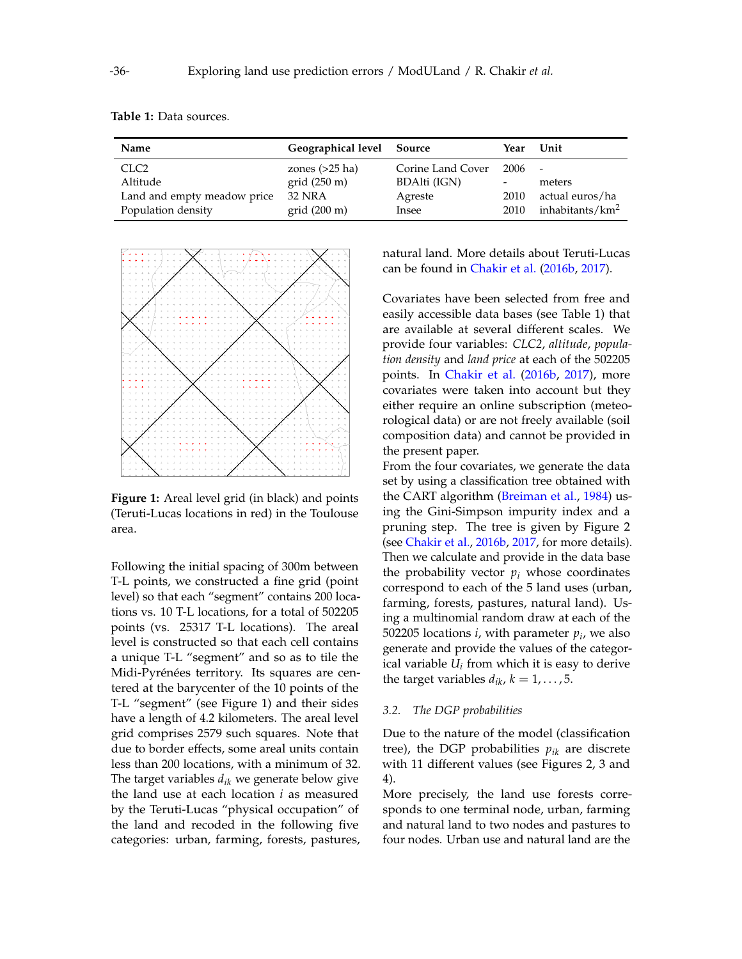| Name                        | Geographical level Source |                   | Year   | Unit                        |
|-----------------------------|---------------------------|-------------------|--------|-----------------------------|
| CLC <sub>2</sub>            | zones $(>25$ ha)          | Corine Land Cover | 2006 - |                             |
| Altitude                    | grid(250 m)               | BDAlti (IGN)      | -      | meters                      |
| Land and empty meadow price | 32 NRA                    | Agreste           | 2010   | actual euros/ha             |
| Population density          | grid(200 m)               | Insee             | 2010   | inhabitants/km <sup>2</sup> |

<span id="page-3-1"></span>**Table 1:** Data sources.

<span id="page-3-0"></span>

**Figure 1:** Areal level grid (in black) and points (Teruti-Lucas locations in red) in the Toulouse area.

Following the initial spacing of 300m between T-L points, we constructed a fine grid (point level) so that each "segment" contains 200 locations vs. 10 T-L locations, for a total of 502205 points (vs. 25317 T-L locations). The areal level is constructed so that each cell contains a unique T-L "segment" and so as to tile the Midi-Pyrénées territory. Its squares are centered at the barycenter of the 10 points of the T-L "segment" (see Figure [1\)](#page-3-0) and their sides have a length of 4.2 kilometers. The areal level grid comprises 2579 such squares. Note that due to border effects, some areal units contain less than 200 locations, with a minimum of 32. The target variables *dik* we generate below give the land use at each location *i* as measured by the Teruti-Lucas "physical occupation" of the land and recoded in the following five categories: urban, farming, forests, pastures, natural land. More details about Teruti-Lucas can be found in [Chakir et al.](#page-15-0) [\(2016b,](#page-15-0) [2017\)](#page-15-2).

Covariates have been selected from free and easily accessible data bases (see Table [1\)](#page-3-1) that are available at several different scales. We provide four variables: *CLC2*, *altitude*, *population density* and *land price* at each of the 502205 points. In [Chakir et al.](#page-15-0) [\(2016b,](#page-15-0) [2017\)](#page-15-2), more covariates were taken into account but they either require an online subscription (meteorological data) or are not freely available (soil composition data) and cannot be provided in the present paper.

From the four covariates, we generate the data set by using a classification tree obtained with the CART algorithm [\(Breiman et al.,](#page-15-3) [1984\)](#page-15-3) using the Gini-Simpson impurity index and a pruning step. The tree is given by Figure [2](#page-4-0) (see [Chakir et al.,](#page-15-0) [2016b,](#page-15-0) [2017,](#page-15-2) for more details). Then we calculate and provide in the data base the probability vector  $p_i$  whose coordinates correspond to each of the 5 land uses (urban, farming, forests, pastures, natural land). Using a multinomial random draw at each of the 502205 locations *i*, with parameter *p<sup>i</sup>* , we also generate and provide the values of the categorical variable *U<sup>i</sup>* from which it is easy to derive the target variables  $d_{ik}$ ,  $k = 1, \ldots, 5$ .

#### *3.2. The DGP probabilities*

Due to the nature of the model (classification tree), the DGP probabilities  $p_{ik}$  are discrete with 11 different values (see Figures [2,](#page-4-0) [3](#page-4-1) and [4\)](#page-5-0).

More precisely, the land use forests corresponds to one terminal node, urban, farming and natural land to two nodes and pastures to four nodes. Urban use and natural land are the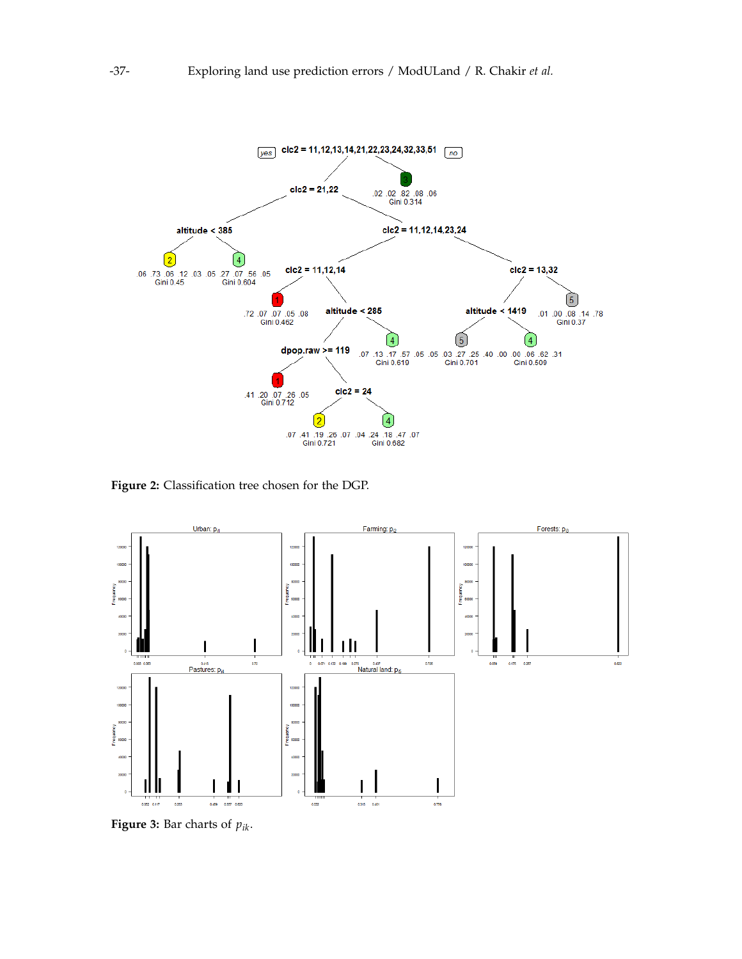<span id="page-4-0"></span>

**Figure 2:** Classification tree chosen for the DGP.

<span id="page-4-1"></span>

**Figure 3:** Bar charts of *pik*.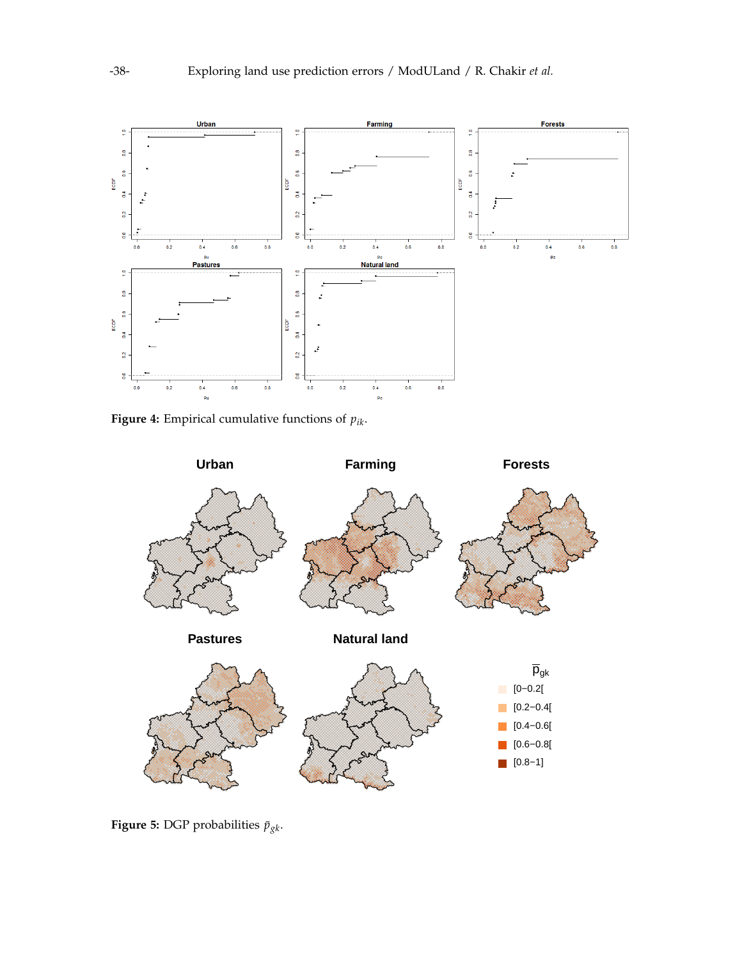<span id="page-5-0"></span>

**Figure 4:** Empirical cumulative functions of *pik*.

<span id="page-5-1"></span>

**Figure 5:** DGP probabilities  $\bar{p}_{gk}$ .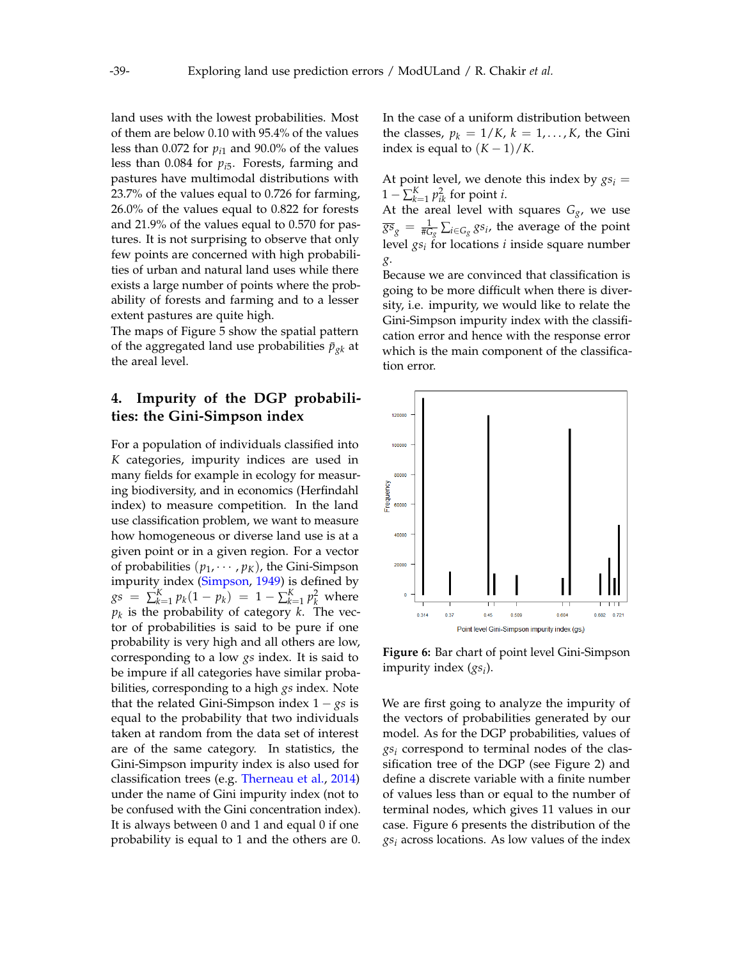land uses with the lowest probabilities. Most of them are below 0.10 with 95.4% of the values less than 0.072 for  $p_{i1}$  and 90.0% of the values less than 0.084 for *pi*<sup>5</sup> . Forests, farming and pastures have multimodal distributions with 23.7% of the values equal to 0.726 for farming, 26.0% of the values equal to 0.822 for forests and 21.9% of the values equal to 0.570 for pastures. It is not surprising to observe that only few points are concerned with high probabilities of urban and natural land uses while there exists a large number of points where the probability of forests and farming and to a lesser extent pastures are quite high.

The maps of Figure [5](#page-5-1) show the spatial pattern of the aggregated land use probabilities  $\bar{p}_{gk}$  at the areal level.

# <span id="page-6-0"></span>**4. Impurity of the DGP probabilities: the Gini-Simpson index**

For a population of individuals classified into *K* categories, impurity indices are used in many fields for example in ecology for measuring biodiversity, and in economics (Herfindahl index) to measure competition. In the land use classification problem, we want to measure how homogeneous or diverse land use is at a given point or in a given region. For a vector of probabilities  $(p_1, \dots, p_K)$ , the Gini-Simpson impurity index [\(Simpson,](#page-15-4) [1949\)](#page-15-4) is defined by  $gs = \sum_{k=1}^{K} p_k (1 - p_k) = 1 - \sum_{k=1}^{K} p_k^2$  where *pk* is the probability of category *k*. The vector of probabilities is said to be pure if one probability is very high and all others are low, corresponding to a low *gs* index. It is said to be impure if all categories have similar probabilities, corresponding to a high *gs* index. Note that the related Gini-Simpson index 1 − *gs* is equal to the probability that two individuals taken at random from the data set of interest are of the same category. In statistics, the Gini-Simpson impurity index is also used for classification trees (e.g. [Therneau et al.,](#page-15-5) [2014\)](#page-15-5) under the name of Gini impurity index (not to be confused with the Gini concentration index). It is always between 0 and 1 and equal 0 if one probability is equal to 1 and the others are 0.

In the case of a uniform distribution between the classes,  $p_k = 1/K$ ,  $k = 1, ..., K$ , the Gini index is equal to  $(K-1)/K$ .

At point level, we denote this index by  $gs_i =$  $1 - \sum_{k=1}^{K} p_{ik}^2$  for point *i*.

At the areal level with squares  $G_g$ , we use  $\overline{gs}_g = \frac{1}{\#G_g}\sum_{i \in G_g} gs_i$ , the average of the point level *gs<sup>i</sup>* for locations *i* inside square number *g*.

Because we are convinced that classification is going to be more difficult when there is diversity, i.e. impurity, we would like to relate the Gini-Simpson impurity index with the classification error and hence with the response error which is the main component of the classification error.

<span id="page-6-1"></span>

**Figure 6:** Bar chart of point level Gini-Simpson impurity index (*gs<sup>i</sup>* ).

We are first going to analyze the impurity of the vectors of probabilities generated by our model. As for the DGP probabilities, values of *gs<sup>i</sup>* correspond to terminal nodes of the classification tree of the DGP (see Figure [2\)](#page-4-0) and define a discrete variable with a finite number of values less than or equal to the number of terminal nodes, which gives 11 values in our case. Figure [6](#page-6-1) presents the distribution of the *gs<sup>i</sup>* across locations. As low values of the index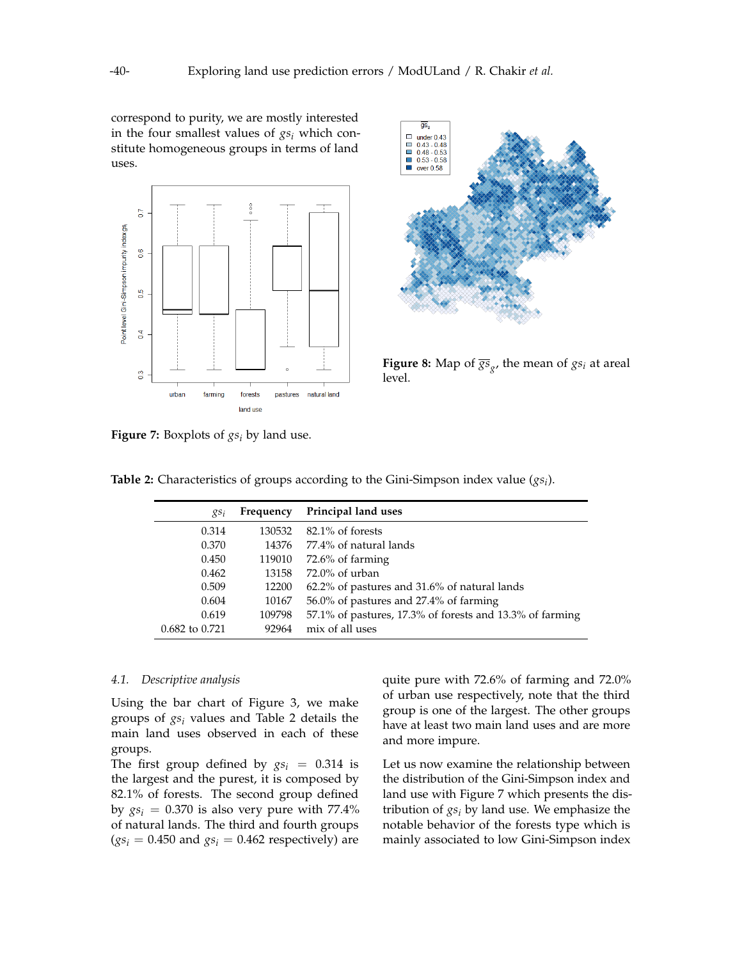correspond to purity, we are mostly interested in the four smallest values of *gs<sup>i</sup>* which constitute homogeneous groups in terms of land uses.

<span id="page-7-1"></span>

**Figure 7:** Boxplots of *gs<sup>i</sup>* by land use.

<span id="page-7-2"></span>

**Figure 8:** Map of  $\overline{\mathcal{S}^S}_{g'}$ , the mean of  $gs_i$  at areal level.

| $RS_i$         | Frequency | Principal land uses                                      |
|----------------|-----------|----------------------------------------------------------|
| 0.314          | 130532    | $82.1\%$ of forests                                      |
| 0.370          | 14376     | 77.4% of natural lands                                   |
| 0.450          | 119010    | $72.6\%$ of farming                                      |
| 0.462          | 13158     | $72.0\%$ of urban                                        |
| 0.509          | 12200     | 62.2% of pastures and 31.6% of natural lands             |
| 0.604          | 10167     | 56.0% of pastures and 27.4% of farming                   |
| 0.619          | 109798    | 57.1% of pastures, 17.3% of forests and 13.3% of farming |
| 0.682 to 0.721 | 92964     | mix of all uses                                          |

<span id="page-7-0"></span>**Table 2:** Characteristics of groups according to the Gini-Simpson index value (*gs<sup>i</sup>* ).

#### *4.1. Descriptive analysis*

Using the bar chart of Figure [3,](#page-4-1) we make groups of *gs<sup>i</sup>* values and Table [2](#page-7-0) details the main land uses observed in each of these groups.

The first group defined by  $gs_i = 0.314$  is the largest and the purest, it is composed by 82.1% of forests. The second group defined by  $gs_i = 0.370$  is also very pure with 77.4% of natural lands. The third and fourth groups  $(gs_i = 0.450$  and  $gs_i = 0.462$  respectively) are quite pure with 72.6% of farming and 72.0% of urban use respectively, note that the third group is one of the largest. The other groups have at least two main land uses and are more and more impure.

Let us now examine the relationship between the distribution of the Gini-Simpson index and land use with Figure [7](#page-7-1) which presents the distribution of *gs<sup>i</sup>* by land use. We emphasize the notable behavior of the forests type which is mainly associated to low Gini-Simpson index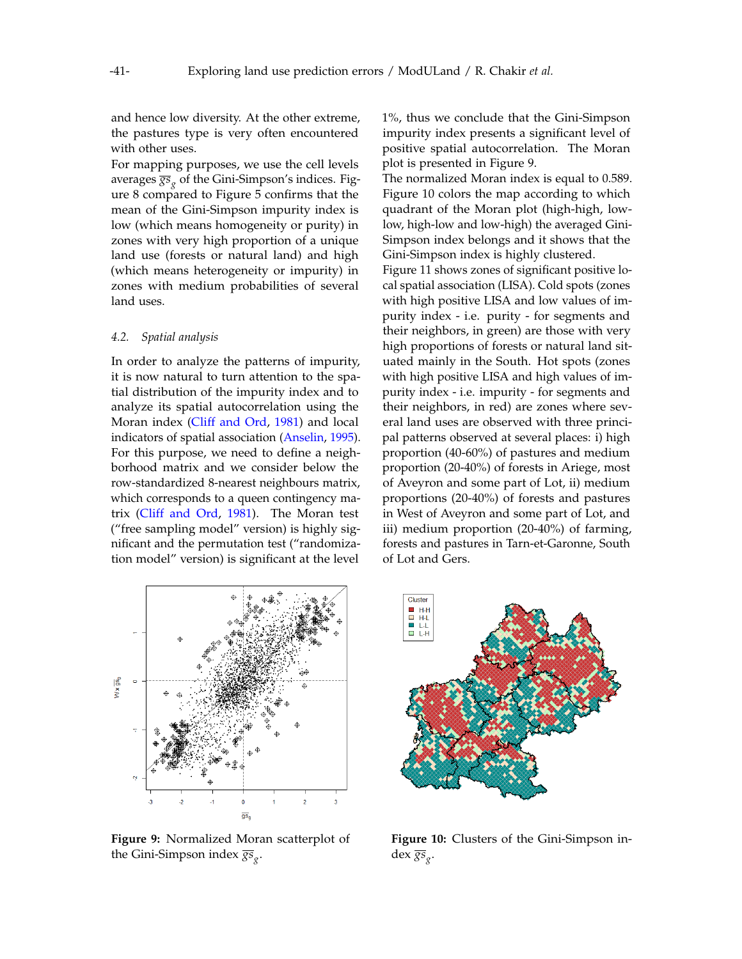and hence low diversity. At the other extreme, the pastures type is very often encountered with other uses.

For mapping purposes, we use the cell levels averages  $\overline{\rm{gs}}_{g}$  of the Gini-Simpson's indices. Figure [8](#page-7-2) compared to Figure [5](#page-5-1) confirms that the mean of the Gini-Simpson impurity index is low (which means homogeneity or purity) in zones with very high proportion of a unique land use (forests or natural land) and high (which means heterogeneity or impurity) in zones with medium probabilities of several land uses.

#### *4.2. Spatial analysis*

In order to analyze the patterns of impurity, it is now natural to turn attention to the spatial distribution of the impurity index and to analyze its spatial autocorrelation using the Moran index [\(Cliff and Ord,](#page-15-6) [1981\)](#page-15-6) and local indicators of spatial association [\(Anselin,](#page-15-7) [1995\)](#page-15-7). For this purpose, we need to define a neighborhood matrix and we consider below the row-standardized 8-nearest neighbours matrix, which corresponds to a queen contingency matrix [\(Cliff and Ord,](#page-15-6) [1981\)](#page-15-6). The Moran test ("free sampling model" version) is highly significant and the permutation test ("randomization model" version) is significant at the level

<span id="page-8-0"></span> $W \times \overline{\text{gs}}_{\text{g}}$  $\overline{2}$  $\overline{\text{gs}}_{\text{g}}$ 

**Figure 9:** Normalized Moran scatterplot of the Gini-Simpson index *gs<sup>g</sup>* .

1%, thus we conclude that the Gini-Simpson impurity index presents a significant level of positive spatial autocorrelation. The Moran plot is presented in Figure [9.](#page-8-0)

The normalized Moran index is equal to 0.589. Figure [10](#page-8-0) colors the map according to which quadrant of the Moran plot (high-high, lowlow, high-low and low-high) the averaged Gini-Simpson index belongs and it shows that the Gini-Simpson index is highly clustered.

Figure [11](#page-9-1) shows zones of significant positive local spatial association (LISA). Cold spots (zones with high positive LISA and low values of impurity index - i.e. purity - for segments and their neighbors, in green) are those with very high proportions of forests or natural land situated mainly in the South. Hot spots (zones with high positive LISA and high values of impurity index - i.e. impurity - for segments and their neighbors, in red) are zones where several land uses are observed with three principal patterns observed at several places: i) high proportion (40-60%) of pastures and medium proportion (20-40%) of forests in Ariege, most of Aveyron and some part of Lot, ii) medium proportions (20-40%) of forests and pastures in West of Aveyron and some part of Lot, and iii) medium proportion (20-40%) of farming, forests and pastures in Tarn-et-Garonne, South of Lot and Gers.



**Figure 10:** Clusters of the Gini-Simpson index *gs<sup>g</sup>* .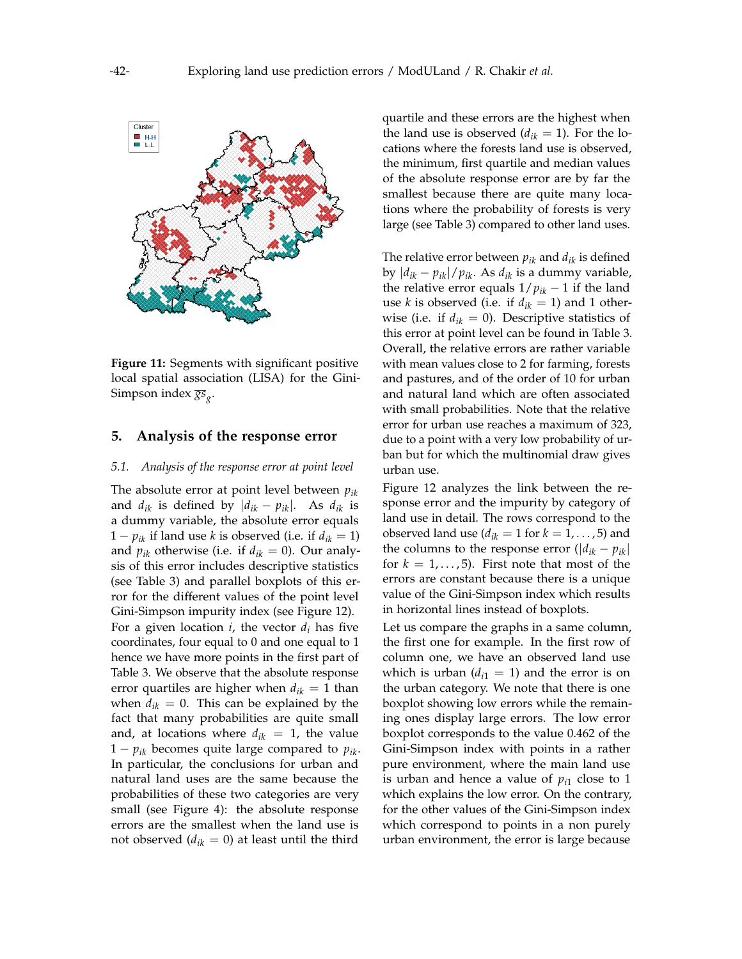<span id="page-9-1"></span>

**Figure 11:** Segments with significant positive local spatial association (LISA) for the Gini-Simpson index *gs<sup>g</sup>* .

#### <span id="page-9-0"></span>**5. Analysis of the response error**

#### *5.1. Analysis of the response error at point level*

The absolute error at point level between *pik* and  $d_{ik}$  is defined by  $|d_{ik} - p_{ik}|$ . As  $d_{ik}$  is a dummy variable, the absolute error equals 1 –  $p_{ik}$  if land use *k* is observed (i.e. if  $d_{ik} = 1$ ) and  $p_{ik}$  otherwise (i.e. if  $d_{ik} = 0$ ). Our analysis of this error includes descriptive statistics (see Table [3\)](#page-10-0) and parallel boxplots of this error for the different values of the point level Gini-Simpson impurity index (see Figure [12\)](#page-11-0). For a given location  $i$ , the vector  $d_i$  has five coordinates, four equal to 0 and one equal to 1 hence we have more points in the first part of Table [3.](#page-10-0) We observe that the absolute response error quartiles are higher when  $d_{ik} = 1$  than when  $d_{ik} = 0$ . This can be explained by the fact that many probabilities are quite small and, at locations where  $d_{ik} = 1$ , the value  $1 - p_{ik}$  becomes quite large compared to  $p_{ik}$ . In particular, the conclusions for urban and natural land uses are the same because the probabilities of these two categories are very small (see Figure [4\)](#page-5-0): the absolute response errors are the smallest when the land use is not observed  $(d_{ik} = 0)$  at least until the third

quartile and these errors are the highest when the land use is observed  $(d_{ik} = 1)$ . For the locations where the forests land use is observed, the minimum, first quartile and median values of the absolute response error are by far the smallest because there are quite many locations where the probability of forests is very large (see Table [3\)](#page-4-1) compared to other land uses.

The relative error between *pik* and *dik* is defined by |*dik* − *pik*|/*pik*. As *dik* is a dummy variable, the relative error equals  $1/p_{ik} - 1$  if the land use *k* is observed (i.e. if  $d_{ik} = 1$ ) and 1 otherwise (i.e. if  $d_{ik} = 0$ ). Descriptive statistics of this error at point level can be found in Table [3.](#page-10-0) Overall, the relative errors are rather variable with mean values close to 2 for farming, forests and pastures, and of the order of 10 for urban and natural land which are often associated with small probabilities. Note that the relative error for urban use reaches a maximum of 323, due to a point with a very low probability of urban but for which the multinomial draw gives urban use.

Figure [12](#page-11-0) analyzes the link between the response error and the impurity by category of land use in detail. The rows correspond to the observed land use ( $d_{ik} = 1$  for  $k = 1, \ldots, 5$ ) and the columns to the response error  $(|d_{ik} - p_{ik}|)$ for  $k = 1, \ldots, 5$ . First note that most of the errors are constant because there is a unique value of the Gini-Simpson index which results in horizontal lines instead of boxplots.

Let us compare the graphs in a same column, the first one for example. In the first row of column one, we have an observed land use which is urban  $(d_{i1} = 1)$  and the error is on the urban category. We note that there is one boxplot showing low errors while the remaining ones display large errors. The low error boxplot corresponds to the value 0.462 of the Gini-Simpson index with points in a rather pure environment, where the main land use is urban and hence a value of  $p_{i1}$  close to 1 which explains the low error. On the contrary, for the other values of the Gini-Simpson index which correspond to points in a non purely urban environment, the error is large because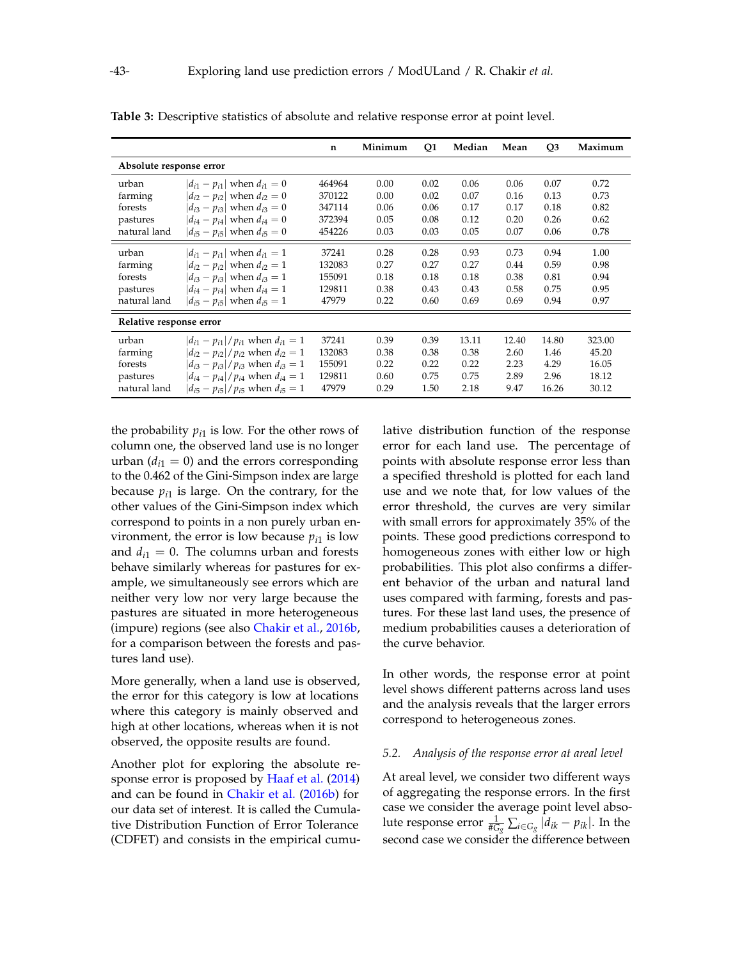|                         |                                              | $\mathbf n$ | Minimum | Q1   | Median | Mean  | Q <sub>3</sub> | Maximum |
|-------------------------|----------------------------------------------|-------------|---------|------|--------|-------|----------------|---------|
| Absolute response error |                                              |             |         |      |        |       |                |         |
| urban                   | $ d_{i1} - p_{i1} $ when $d_{i1} = 0$        | 464964      | 0.00    | 0.02 | 0.06   | 0.06  | 0.07           | 0.72    |
| farming                 | $ d_{i2} - p_{i2} $ when $d_{i2} = 0$        | 370122      | 0.00    | 0.02 | 0.07   | 0.16  | 0.13           | 0.73    |
| forests                 | $ d_{i3} - p_{i3} $ when $d_{i3} = 0$        | 347114      | 0.06    | 0.06 | 0.17   | 0.17  | 0.18           | 0.82    |
| pastures                | $ d_{i4} - p_{i4} $ when $d_{i4} = 0$        | 372394      | 0.05    | 0.08 | 0.12   | 0.20  | 0.26           | 0.62    |
| natural land            | $ d_{i5} - p_{i5} $ when $d_{i5} = 0$        | 454226      | 0.03    | 0.03 | 0.05   | 0.07  | 0.06           | 0.78    |
| urban                   | $ d_{i1} - p_{i1} $ when $d_{i1} = 1$        | 37241       | 0.28    | 0.28 | 0.93   | 0.73  | 0.94           | 1.00    |
| farming                 | $ d_{i2} - p_{i2} $ when $d_{i2} = 1$        | 132083      | 0.27    | 0.27 | 0.27   | 0.44  | 0.59           | 0.98    |
| forests                 | $ d_{i3} - p_{i3} $ when $d_{i3} = 1$        | 155091      | 0.18    | 0.18 | 0.18   | 0.38  | 0.81           | 0.94    |
| pastures                | $ d_{i4} - p_{i4} $ when $d_{i4} = 1$        | 129811      | 0.38    | 0.43 | 0.43   | 0.58  | 0.75           | 0.95    |
| natural land            | $ d_{i5} - p_{i5} $ when $d_{i5} = 1$        | 47979       | 0.22    | 0.60 | 0.69   | 0.69  | 0.94           | 0.97    |
| Relative response error |                                              |             |         |      |        |       |                |         |
| urban                   | $ d_{i1} - p_{i1} /p_{i1}$ when $d_{i1} = 1$ | 37241       | 0.39    | 0.39 | 13.11  | 12.40 | 14.80          | 323.00  |
| farming                 | $ d_{i2} - p_{i2} /p_{i2}$ when $d_{i2} = 1$ | 132083      | 0.38    | 0.38 | 0.38   | 2.60  | 1.46           | 45.20   |
| forests                 | $ d_{i3} - p_{i3} /p_{i3}$ when $d_{i3} = 1$ | 155091      | 0.22    | 0.22 | 0.22   | 2.23  | 4.29           | 16.05   |
| pastures                | $ d_{i4} - p_{i4} /p_{i4}$ when $d_{i4} = 1$ | 129811      | 0.60    | 0.75 | 0.75   | 2.89  | 2.96           | 18.12   |
| natural land            | $ d_{i5} - p_{i5} /p_{i5}$ when $d_{i5} = 1$ | 47979       | 0.29    | 1.50 | 2.18   | 9.47  | 16.26          | 30.12   |

<span id="page-10-0"></span>**Table 3:** Descriptive statistics of absolute and relative response error at point level.

the probability  $p_{i1}$  is low. For the other rows of column one, the observed land use is no longer urban  $(d_{i1} = 0)$  and the errors corresponding to the 0.462 of the Gini-Simpson index are large because  $p_{i1}$  is large. On the contrary, for the other values of the Gini-Simpson index which correspond to points in a non purely urban environment, the error is low because  $p_{i1}$  is low and  $d_{i1} = 0$ . The columns urban and forests behave similarly whereas for pastures for example, we simultaneously see errors which are neither very low nor very large because the pastures are situated in more heterogeneous (impure) regions (see also [Chakir et al.,](#page-15-0) [2016b,](#page-15-0) for a comparison between the forests and pastures land use).

More generally, when a land use is observed, the error for this category is low at locations where this category is mainly observed and high at other locations, whereas when it is not observed, the opposite results are found.

Another plot for exploring the absolute response error is proposed by [Haaf et al.](#page-15-8) [\(2014\)](#page-15-8) and can be found in [Chakir et al.](#page-15-0) [\(2016b\)](#page-15-0) for our data set of interest. It is called the Cumulative Distribution Function of Error Tolerance (CDFET) and consists in the empirical cumulative distribution function of the response error for each land use. The percentage of points with absolute response error less than a specified threshold is plotted for each land use and we note that, for low values of the error threshold, the curves are very similar with small errors for approximately 35% of the points. These good predictions correspond to homogeneous zones with either low or high probabilities. This plot also confirms a different behavior of the urban and natural land uses compared with farming, forests and pastures. For these last land uses, the presence of medium probabilities causes a deterioration of the curve behavior.

In other words, the response error at point level shows different patterns across land uses and the analysis reveals that the larger errors correspond to heterogeneous zones.

#### *5.2. Analysis of the response error at areal level*

At areal level, we consider two different ways of aggregating the response errors. In the first case we consider the average point level absolute response error  $\frac{1}{\#G_g}\sum_{i\in G_g}|d_{ik}-p_{ik}|.$  In the second case we consider the difference between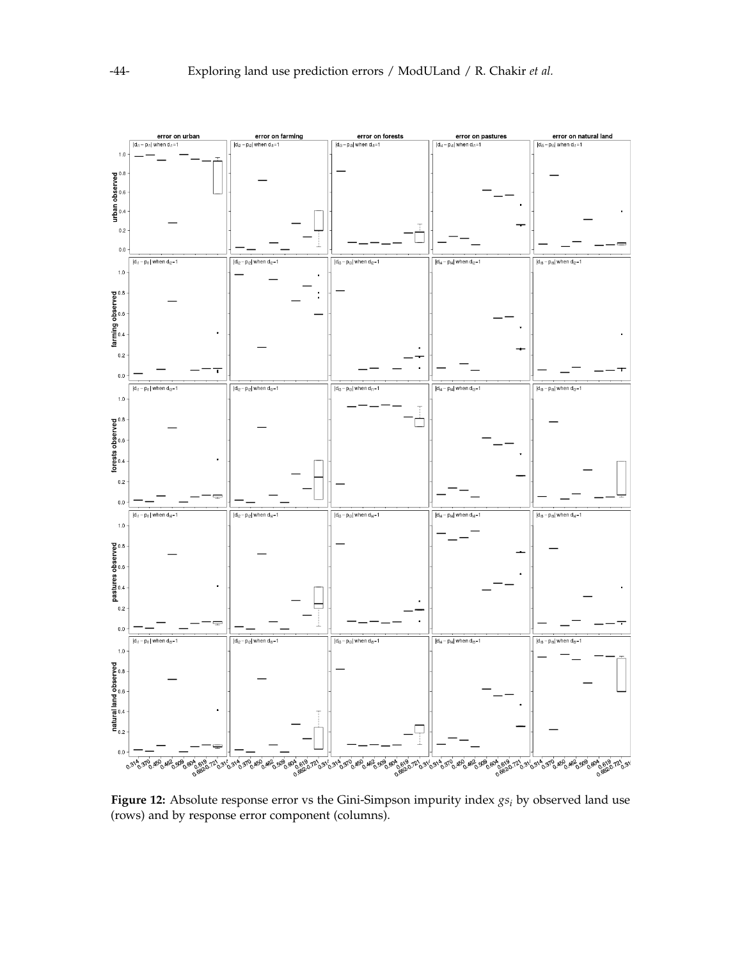<span id="page-11-0"></span>

**Figure 12:** Absolute response error vs the Gini-Simpson impurity index *gs<sup>i</sup>* by observed land use (rows) and by response error component (columns).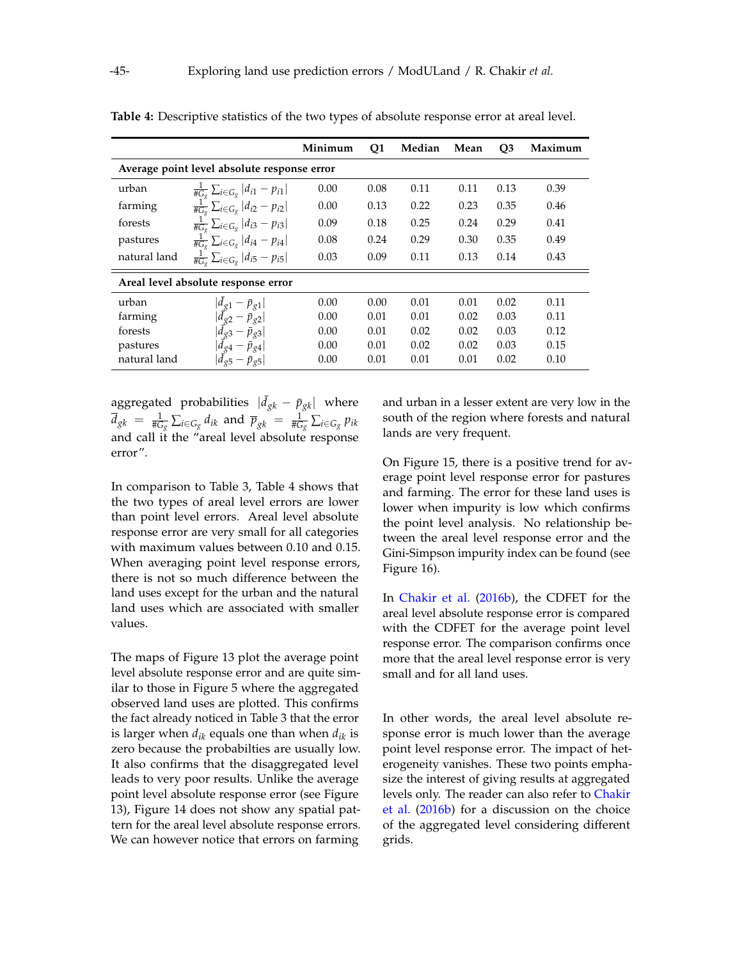|                                     |                                                                    | Minimum | Q1   | Median | Mean | Q <sub>3</sub> | Maximum |
|-------------------------------------|--------------------------------------------------------------------|---------|------|--------|------|----------------|---------|
|                                     | Average point level absolute response error                        |         |      |        |      |                |         |
| urban                               | $\frac{1}{\#G_g}\sum_{i\in G_g} d_{i1}-p_{i1} $                    | 0.00    | 0.08 | 0.11   | 0.11 | 0.13           | 0.39    |
| farming                             | $\frac{1}{\#G_{\sigma}}\sum_{i\in G_{g}} d_{i2}-p_{i2} $           | 0.00    | 0.13 | 0.22   | 0.23 | 0.35           | 0.46    |
| forests                             | $\frac{1}{\#G_{\sigma}}\sum_{i\in G_{g}} d_{i3}-p_{i3} $           | 0.09    | 0.18 | 0.25   | 0.24 | 0.29           | 0.41    |
| pastures                            | $\frac{1}{\#G_g}\sum_{i\in G_g} d_{i4}-p_{i4} $                    | 0.08    | 0.24 | 0.29   | 0.30 | 0.35           | 0.49    |
| natural land                        | $\frac{1}{\#G_{\alpha}}\sum_{i\in G_{g}} d_{i5}-p_{i5} $           | 0.03    | 0.09 | 0.11   | 0.13 | 0.14           | 0.43    |
| Areal level absolute response error |                                                                    |         |      |        |      |                |         |
| urban                               | $ d_{g1}-\bar{p}_{g1} $                                            | 0.00    | 0.00 | 0.01   | 0.01 | 0.02           | 0.11    |
| farming                             | $ \vec{d}_{g2} - \vec{p}_{g2} $<br>$ \vec{d}_{g3} - \vec{p}_{g3} $ | 0.00    | 0.01 | 0.01   | 0.02 | 0.03           | 0.11    |
| forests                             |                                                                    | 0.00    | 0.01 | 0.02   | 0.02 | 0.03           | 0.12    |
| pastures                            | $ \bar{d}_{g4}-\bar{p}_{g4} $                                      | 0.00    | 0.01 | 0.02   | 0.02 | 0.03           | 0.15    |
| natural land                        | $ d_{g5} - \bar{p}_{g5} $                                          | 0.00    | 0.01 | 0.01   | 0.01 | 0.02           | 0.10    |

<span id="page-12-1"></span>**Table 4:** Descriptive statistics of the two types of absolute response error at areal level.

aggregated probabilities  $|\bar{d}_{gk} - \bar{p}_{gk}|$  where  $\overline{d}_{gk} = \frac{1}{\#G_g}\sum_{i\in G_g}d_{ik}$  and  $\overline{p}_{gk} = \frac{1}{\#G_g}\sum_{i\in G_g}p_{ik}$ and call it the "areal level absolute response error".

In comparison to Table [3,](#page-10-0) Table [4](#page-12-1) shows that the two types of areal level errors are lower than point level errors. Areal level absolute response error are very small for all categories with maximum values between 0.10 and 0.15. When averaging point level response errors, there is not so much difference between the land uses except for the urban and the natural land uses which are associated with smaller values.

The maps of Figure [13](#page-13-0) plot the average point level absolute response error and are quite similar to those in Figure [5](#page-5-1) where the aggregated observed land uses are plotted. This confirms the fact already noticed in Table [3](#page-10-0) that the error is larger when  $d_{ik}$  equals one than when  $d_{ik}$  is zero because the probabilties are usually low. It also confirms that the disaggregated level leads to very poor results. Unlike the average point level absolute response error (see Figure [13\)](#page-13-0), Figure [14](#page-13-1) does not show any spatial pattern for the areal level absolute response errors. We can however notice that errors on farming

and urban in a lesser extent are very low in the south of the region where forests and natural lands are very frequent.

On Figure [15,](#page-14-0) there is a positive trend for average point level response error for pastures and farming. The error for these land uses is lower when impurity is low which confirms the point level analysis. No relationship between the areal level response error and the Gini-Simpson impurity index can be found (see Figure [16\)](#page-14-1).

In [Chakir et al.](#page-15-0) [\(2016b\)](#page-15-0), the CDFET for the areal level absolute response error is compared with the CDFET for the average point level response error. The comparison confirms once more that the areal level response error is very small and for all land uses.

<span id="page-12-0"></span>In other words, the areal level absolute response error is much lower than the average point level response error. The impact of heterogeneity vanishes. These two points emphasize the interest of giving results at aggregated levels only. The reader can also refer to [Chakir](#page-15-0) [et al.](#page-15-0) [\(2016b\)](#page-15-0) for a discussion on the choice of the aggregated level considering different grids.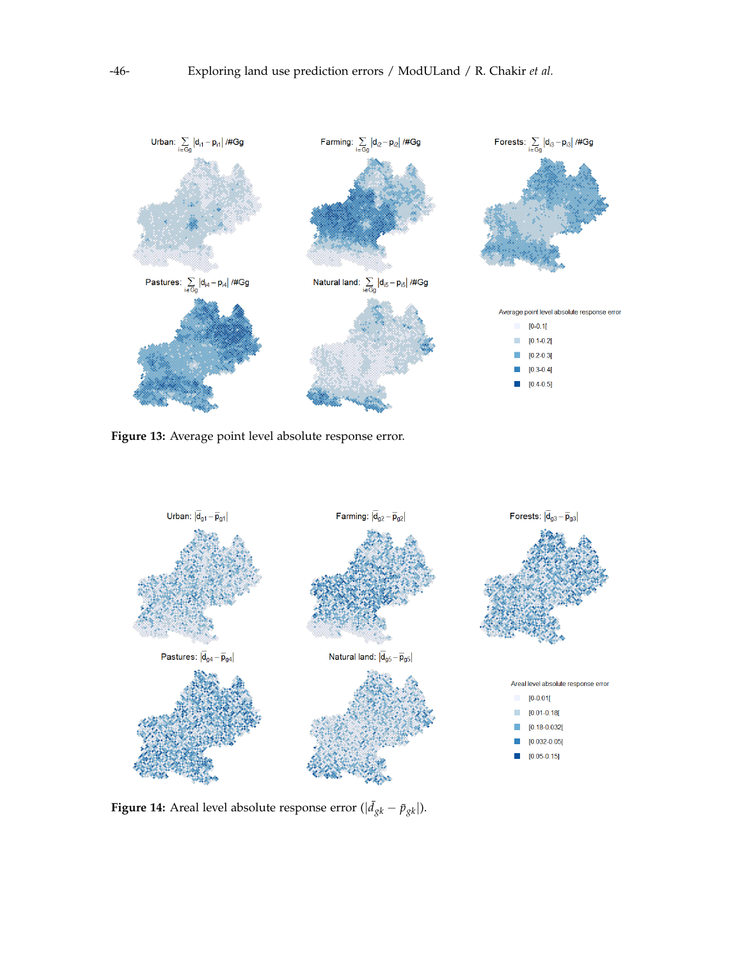<span id="page-13-0"></span>

**Figure 13:** Average point level absolute response error.

<span id="page-13-1"></span>

**Figure 14:** Areal level absolute response error ( $|\bar{d}_{gk} - \bar{p}_{gk}|$ ).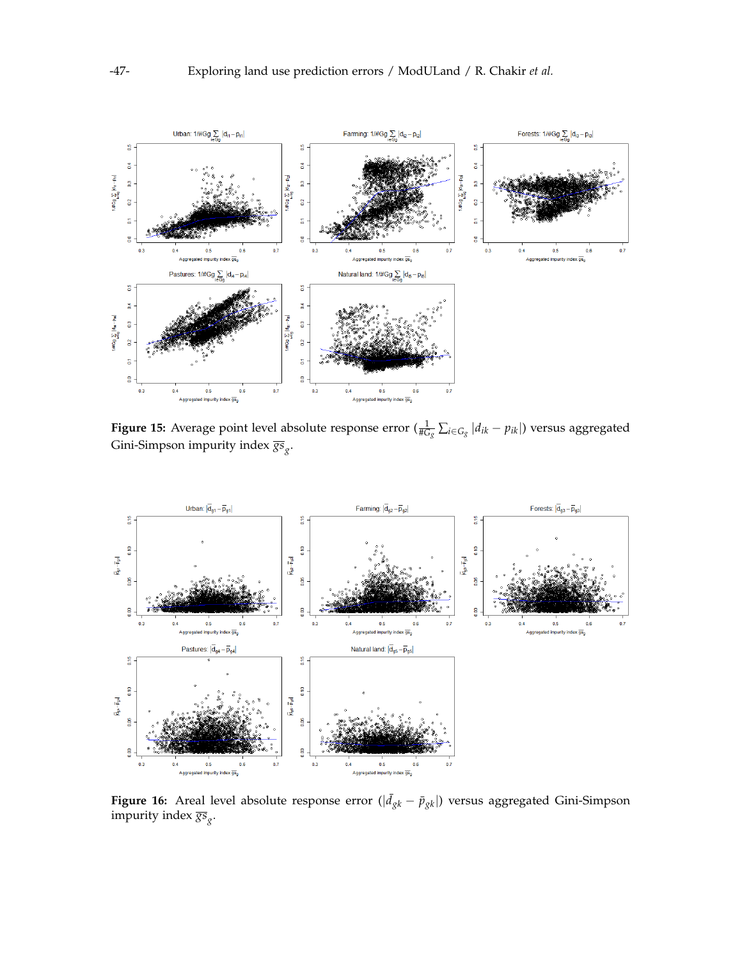<span id="page-14-0"></span>

**Figure 15:** Average point level absolute response error  $(\frac{1}{\#G_g}\sum_{i\in G_g}|d_{ik}-p_{ik}|)$  versus aggregated Gini-Simpson impurity index *gs<sup>g</sup>* .

<span id="page-14-1"></span>

**Figure 16:** Areal level absolute response error ( $|\bar{d}_{gk} - \bar{p}_{gk}|$ ) versus aggregated Gini-Simpson impurity index *gs<sup>g</sup>* .